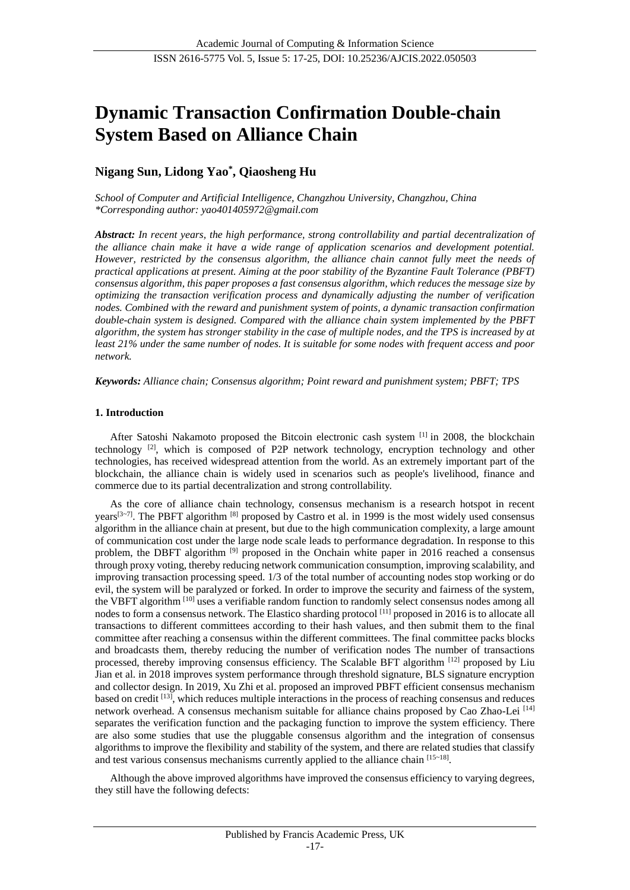# **Dynamic Transaction Confirmation Double-chain System Based on Alliance Chain**

# **Nigang Sun, Lidong Yao\* , Qiaosheng Hu**

*School of Computer and Artificial Intelligence, Changzhou University, Changzhou, China \*Corresponding author: yao401405972@gmail.com*

*Abstract: In recent years, the high performance, strong controllability and partial decentralization of the alliance chain make it have a wide range of application scenarios and development potential. However, restricted by the consensus algorithm, the alliance chain cannot fully meet the needs of practical applications at present. Aiming at the poor stability of the Byzantine Fault Tolerance (PBFT) consensus algorithm, this paper proposes a fast consensus algorithm, which reduces the message size by optimizing the transaction verification process and dynamically adjusting the number of verification nodes. Combined with the reward and punishment system of points, a dynamic transaction confirmation double-chain system is designed. Compared with the alliance chain system implemented by the PBFT algorithm, the system has stronger stability in the case of multiple nodes, and the TPS is increased by at least 21% under the same number of nodes. It is suitable for some nodes with frequent access and poor network.*

*Keywords: Alliance chain; Consensus algorithm; Point reward and punishment system; PBFT; TPS*

# **1. Introduction**

After Satoshi Nakamoto proposed the Bitcoin electronic cash system <sup>[1]</sup> in 2008, the blockchain technology [2], which is composed of P2P network technology, encryption technology and other technologies, has received widespread attention from the world. As an extremely important part of the blockchain, the alliance chain is widely used in scenarios such as people's livelihood, finance and commerce due to its partial decentralization and strong controllability.

As the core of alliance chain technology, consensus mechanism is a research hotspot in recent years<sup>[3~7]</sup>. The PBFT algorithm  $^{[8]}$  proposed by Castro et al. in 1999 is the most widely used consensus algorithm in the alliance chain at present, but due to the high communication complexity, a large amount of communication cost under the large node scale leads to performance degradation. In response to this problem, the DBFT algorithm [9] proposed in the Onchain white paper in 2016 reached a consensus through proxy voting, thereby reducing network communication consumption, improving scalability, and improving transaction processing speed. 1/3 of the total number of accounting nodes stop working or do evil, the system will be paralyzed or forked. In order to improve the security and fairness of the system, the VBFT algorithm [10] uses a verifiable random function to randomly select consensus nodes among all nodes to form a consensus network. The Elastico sharding protocol <sup>[11]</sup> proposed in 2016 is to allocate all transactions to different committees according to their hash values, and then submit them to the final committee after reaching a consensus within the different committees. The final committee packs blocks and broadcasts them, thereby reducing the number of verification nodes The number of transactions processed, thereby improving consensus efficiency. The Scalable BFT algorithm [12] proposed by Liu Jian et al. in 2018 improves system performance through threshold signature, BLS signature encryption and collector design. In 2019, Xu Zhi et al. proposed an improved PBFT efficient consensus mechanism based on credit [13], which reduces multiple interactions in the process of reaching consensus and reduces network overhead. A consensus mechanism suitable for alliance chains proposed by Cao Zhao-Lei [14] separates the verification function and the packaging function to improve the system efficiency. There are also some studies that use the pluggable consensus algorithm and the integration of consensus algorithms to improve the flexibility and stability of the system, and there are related studies that classify and test various consensus mechanisms currently applied to the alliance chain [15~18].

Although the above improved algorithms have improved the consensus efficiency to varying degrees, they still have the following defects: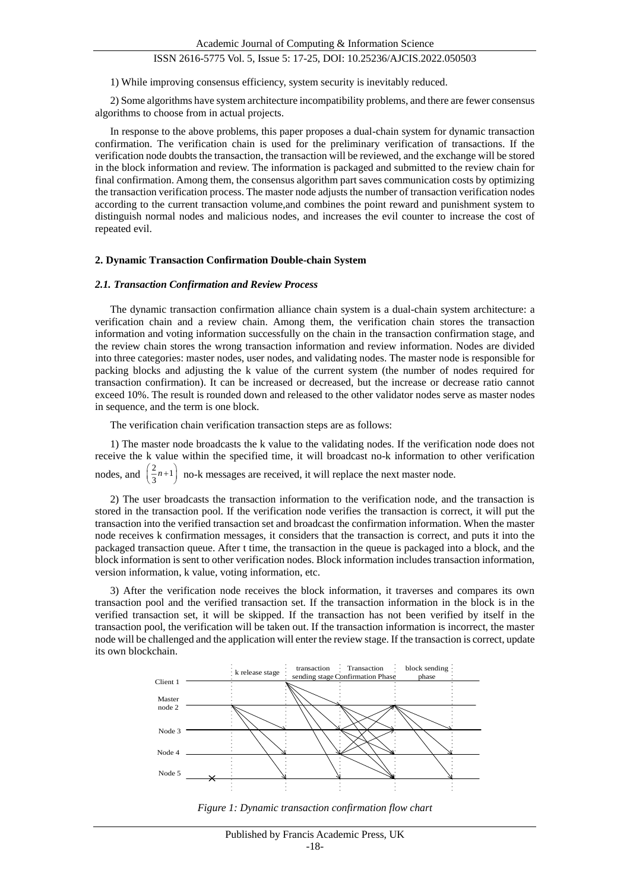1) While improving consensus efficiency, system security is inevitably reduced.

2) Some algorithms have system architecture incompatibility problems, and there are fewer consensus algorithms to choose from in actual projects.

In response to the above problems, this paper proposes a dual-chain system for dynamic transaction confirmation. The verification chain is used for the preliminary verification of transactions. If the verification node doubts the transaction, the transaction will be reviewed, and the exchange will be stored in the block information and review. The information is packaged and submitted to the review chain for final confirmation. Among them, the consensus algorithm part saves communication costs by optimizing the transaction verification process. The master node adjusts the number of transaction verification nodes according to the current transaction volume,and combines the point reward and punishment system to distinguish normal nodes and malicious nodes, and increases the evil counter to increase the cost of repeated evil.

#### **2. Dynamic Transaction Confirmation Double-chain System**

#### *2.1. Transaction Confirmation and Review Process*

The dynamic transaction confirmation alliance chain system is a dual-chain system architecture: a verification chain and a review chain. Among them, the verification chain stores the transaction information and voting information successfully on the chain in the transaction confirmation stage, and the review chain stores the wrong transaction information and review information. Nodes are divided into three categories: master nodes, user nodes, and validating nodes. The master node is responsible for packing blocks and adjusting the k value of the current system (the number of nodes required for transaction confirmation). It can be increased or decreased, but the increase or decrease ratio cannot exceed 10%. The result is rounded down and released to the other validator nodes serve as master nodes in sequence, and the term is one block.

The verification chain verification transaction steps are as follows:

1) The master node broadcasts the k value to the validating nodes. If the verification node does not receive the k value within the specified time, it will broadcast no-k information to other verification nodes, and  $\left(\frac{2}{3}n+1\right)$ no-k messages are received, it will replace the next master node.

2) The user broadcasts the transaction information to the verification node, and the transaction is stored in the transaction pool. If the verification node verifies the transaction is correct, it will put the transaction into the verified transaction set and broadcast the confirmation information. When the master node receives k confirmation messages, it considers that the transaction is correct, and puts it into the packaged transaction queue. After t time, the transaction in the queue is packaged into a block, and the block information is sent to other verification nodes. Block information includes transaction information, version information, k value, voting information, etc.

3) After the verification node receives the block information, it traverses and compares its own transaction pool and the verified transaction set. If the transaction information in the block is in the verified transaction set, it will be skipped. If the transaction has not been verified by itself in the transaction pool, the verification will be taken out. If the transaction information is incorrect, the master node will be challenged and the application will enter the review stage. If the transaction is correct, update its own blockchain.



*Figure 1: Dynamic transaction confirmation flow chart*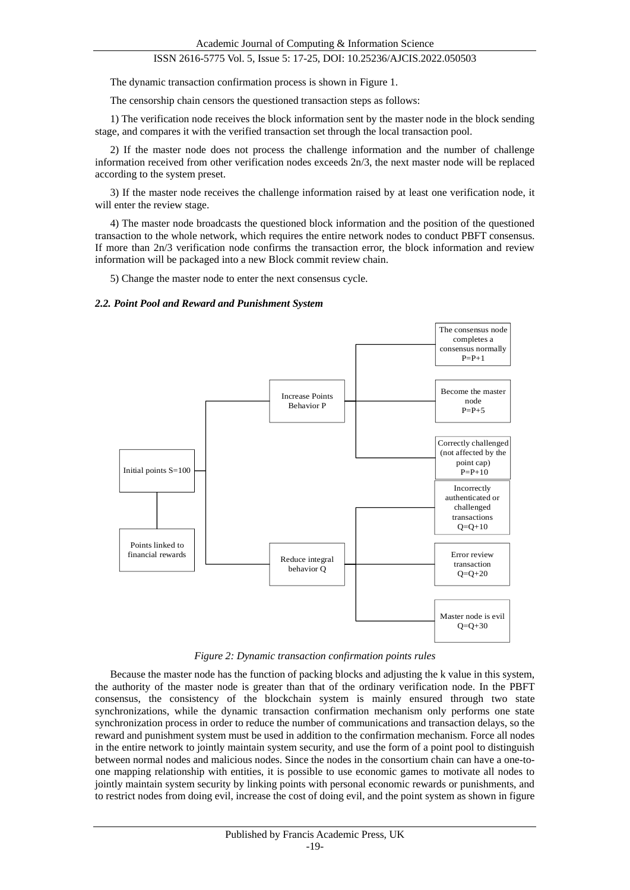The dynamic transaction confirmation process is shown in Figure 1.

The censorship chain censors the questioned transaction steps as follows:

1) The verification node receives the block information sent by the master node in the block sending stage, and compares it with the verified transaction set through the local transaction pool.

2) If the master node does not process the challenge information and the number of challenge information received from other verification nodes exceeds 2n/3, the next master node will be replaced according to the system preset.

3) If the master node receives the challenge information raised by at least one verification node, it will enter the review stage.

4) The master node broadcasts the questioned block information and the position of the questioned transaction to the whole network, which requires the entire network nodes to conduct PBFT consensus. If more than 2n/3 verification node confirms the transaction error, the block information and review information will be packaged into a new Block commit review chain.

5) Change the master node to enter the next consensus cycle.

#### *2.2. Point Pool and Reward and Punishment System*



*Figure 2: Dynamic transaction confirmation points rules*

Because the master node has the function of packing blocks and adjusting the k value in this system, the authority of the master node is greater than that of the ordinary verification node. In the PBFT consensus, the consistency of the blockchain system is mainly ensured through two state synchronizations, while the dynamic transaction confirmation mechanism only performs one state synchronization process in order to reduce the number of communications and transaction delays, so the reward and punishment system must be used in addition to the confirmation mechanism. Force all nodes in the entire network to jointly maintain system security, and use the form of a point pool to distinguish between normal nodes and malicious nodes. Since the nodes in the consortium chain can have a one-toone mapping relationship with entities, it is possible to use economic games to motivate all nodes to jointly maintain system security by linking points with personal economic rewards or punishments, and to restrict nodes from doing evil, increase the cost of doing evil, and the point system as shown in figure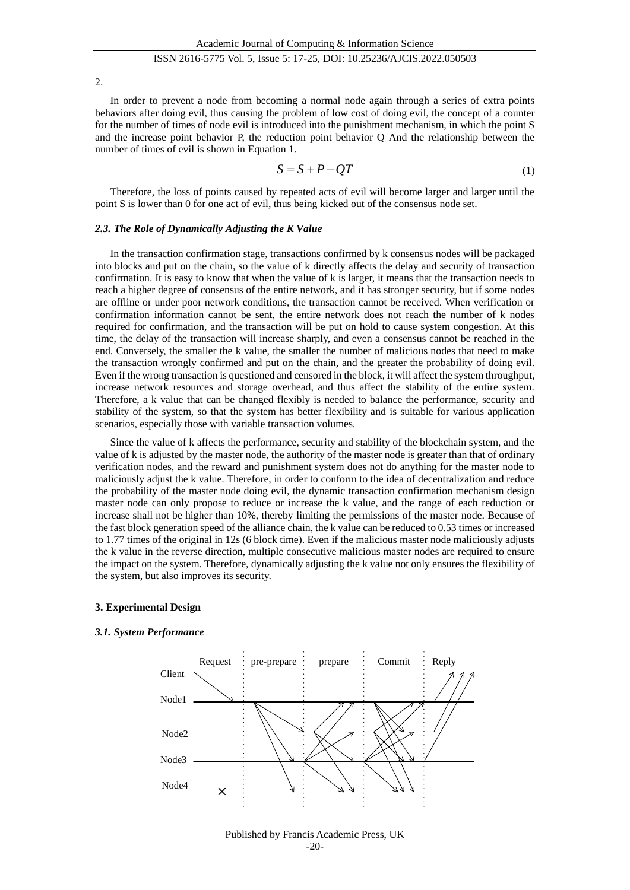2.

In order to prevent a node from becoming a normal node again through a series of extra points behaviors after doing evil, thus causing the problem of low cost of doing evil, the concept of a counter for the number of times of node evil is introduced into the punishment mechanism, in which the point S and the increase point behavior P, the reduction point behavior Q And the relationship between the number of times of evil is shown in Equation 1.

$$
S = S + P - QT \tag{1}
$$

Therefore, the loss of points caused by repeated acts of evil will become larger and larger until the point S is lower than 0 for one act of evil, thus being kicked out of the consensus node set.

#### *2.3. The Role of Dynamically Adjusting the K Value*

In the transaction confirmation stage, transactions confirmed by k consensus nodes will be packaged into blocks and put on the chain, so the value of k directly affects the delay and security of transaction confirmation. It is easy to know that when the value of k is larger, it means that the transaction needs to reach a higher degree of consensus of the entire network, and it has stronger security, but if some nodes are offline or under poor network conditions, the transaction cannot be received. When verification or confirmation information cannot be sent, the entire network does not reach the number of k nodes required for confirmation, and the transaction will be put on hold to cause system congestion. At this time, the delay of the transaction will increase sharply, and even a consensus cannot be reached in the end. Conversely, the smaller the k value, the smaller the number of malicious nodes that need to make the transaction wrongly confirmed and put on the chain, and the greater the probability of doing evil. Even if the wrong transaction is questioned and censored in the block, it will affect the system throughput, increase network resources and storage overhead, and thus affect the stability of the entire system. Therefore, a k value that can be changed flexibly is needed to balance the performance, security and stability of the system, so that the system has better flexibility and is suitable for various application scenarios, especially those with variable transaction volumes.

Since the value of k affects the performance, security and stability of the blockchain system, and the value of k is adjusted by the master node, the authority of the master node is greater than that of ordinary verification nodes, and the reward and punishment system does not do anything for the master node to maliciously adjust the k value. Therefore, in order to conform to the idea of decentralization and reduce the probability of the master node doing evil, the dynamic transaction confirmation mechanism design master node can only propose to reduce or increase the k value, and the range of each reduction or increase shall not be higher than 10%, thereby limiting the permissions of the master node. Because of the fast block generation speed of the alliance chain, the k value can be reduced to 0.53 times or increased to 1.77 times of the original in 12s (6 block time). Even if the malicious master node maliciously adjusts the k value in the reverse direction, multiple consecutive malicious master nodes are required to ensure the impact on the system. Therefore, dynamically adjusting the k value not only ensures the flexibility of the system, but also improves its security.

#### **3. Experimental Design**

#### *3.1. System Performance*

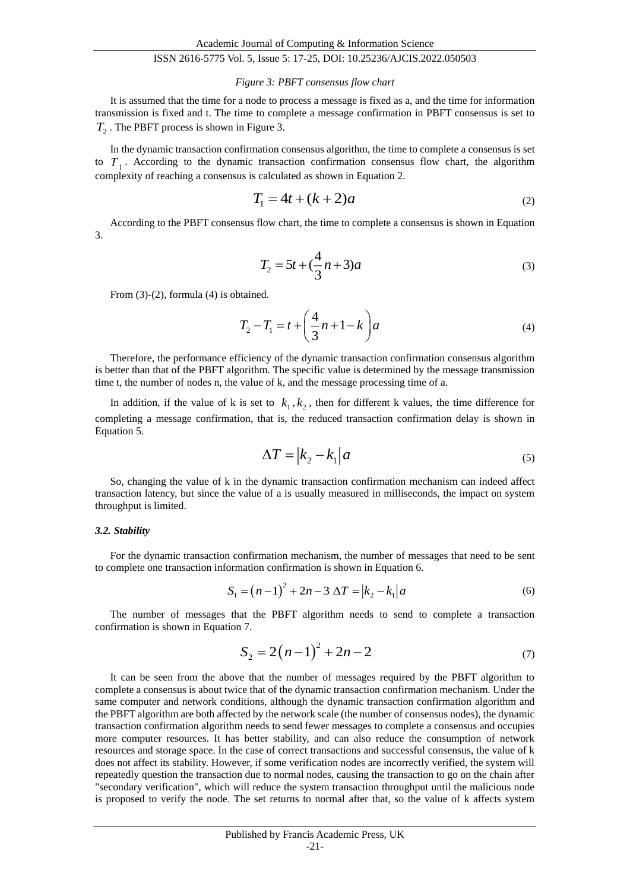#### *Figure 3: PBFT consensus flow chart*

It is assumed that the time for a node to process a message is fixed as a, and the time for information transmission is fixed and t. The time to complete a message confirmation in PBFT consensus is set to *T*2 . The PBFT process is shown in Figure 3.

In the dynamic transaction confirmation consensus algorithm, the time to complete a consensus is set to  $T_1$ . According to the dynamic transaction confirmation consensus flow chart, the algorithm complexity of reaching a consensus is calculated as shown in Equation 2.

$$
T_1 = 4t + (k+2)a
$$
 (2)

According to the PBFT consensus flow chart, the time to complete a consensus is shown in Equation 3.

$$
T_2 = 5t + (\frac{4}{3}n + 3)a
$$
 (3)

From (3)-(2), formula (4) is obtained.

$$
T_2 - T_1 = t + \left(\frac{4}{3}n + 1 - k\right)a\tag{4}
$$

Therefore, the performance efficiency of the dynamic transaction confirmation consensus algorithm is better than that of the PBFT algorithm. The specific value is determined by the message transmission time t, the number of nodes n, the value of k, and the message processing time of a.

In addition, if the value of k is set to  $k_1, k_2$ , then for different k values, the time difference for completing a message confirmation, that is, the reduced transaction confirmation delay is shown in Equation 5.

$$
\Delta T = |k_2 - k_1|a \tag{5}
$$

So, changing the value of k in the dynamic transaction confirmation mechanism can indeed affect transaction latency, but since the value of a is usually measured in milliseconds, the impact on system throughput is limited.

#### *3.2. Stability*

For the dynamic transaction confirmation mechanism, the number of messages that need to be sent to complete one transaction information confirmation is shown in Equation 6.

$$
S_1 = (n-1)^2 + 2n - 3 \Delta T = |k_2 - k_1|a \tag{6}
$$

The number of messages that the PBFT algorithm needs to send to complete a transaction confirmation is shown in Equation 7.

$$
S_2 = 2(n-1)^2 + 2n - 2 \tag{7}
$$

It can be seen from the above that the number of messages required by the PBFT algorithm to complete a consensus is about twice that of the dynamic transaction confirmation mechanism. Under the same computer and network conditions, although the dynamic transaction confirmation algorithm and the PBFT algorithm are both affected by the network scale (the number of consensus nodes), the dynamic transaction confirmation algorithm needs to send fewer messages to complete a consensus and occupies more computer resources. It has better stability, and can also reduce the consumption of network resources and storage space. In the case of correct transactions and successful consensus, the value of k does not affect its stability. However, if some verification nodes are incorrectly verified, the system will repeatedly question the transaction due to normal nodes, causing the transaction to go on the chain after "secondary verification", which will reduce the system transaction throughput until the malicious node is proposed to verify the node. The set returns to normal after that, so the value of k affects system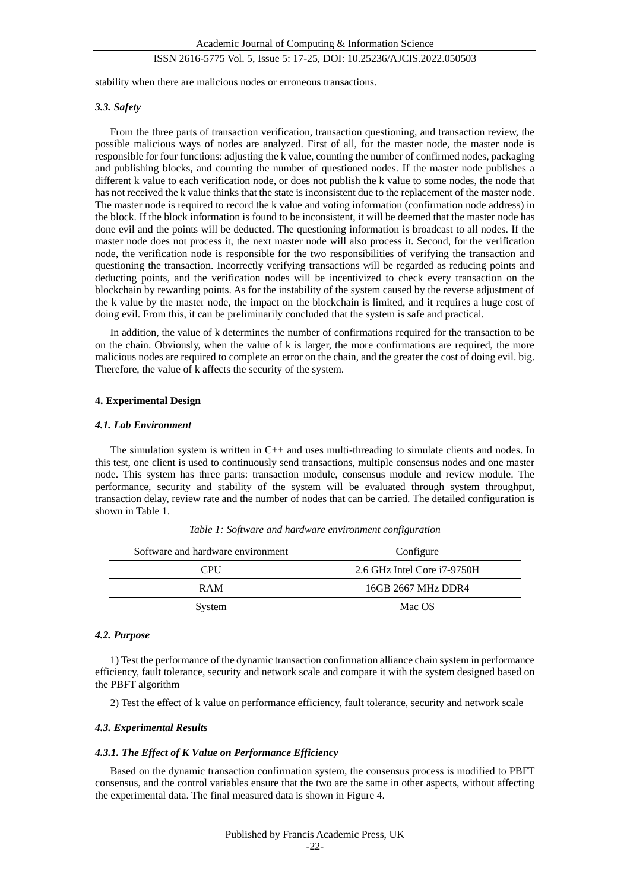stability when there are malicious nodes or erroneous transactions.

#### *3.3. Safety*

From the three parts of transaction verification, transaction questioning, and transaction review, the possible malicious ways of nodes are analyzed. First of all, for the master node, the master node is responsible for four functions: adjusting the k value, counting the number of confirmed nodes, packaging and publishing blocks, and counting the number of questioned nodes. If the master node publishes a different k value to each verification node, or does not publish the k value to some nodes, the node that has not received the k value thinks that the state is inconsistent due to the replacement of the master node. The master node is required to record the k value and voting information (confirmation node address) in the block. If the block information is found to be inconsistent, it will be deemed that the master node has done evil and the points will be deducted. The questioning information is broadcast to all nodes. If the master node does not process it, the next master node will also process it. Second, for the verification node, the verification node is responsible for the two responsibilities of verifying the transaction and questioning the transaction. Incorrectly verifying transactions will be regarded as reducing points and deducting points, and the verification nodes will be incentivized to check every transaction on the blockchain by rewarding points. As for the instability of the system caused by the reverse adjustment of the k value by the master node, the impact on the blockchain is limited, and it requires a huge cost of doing evil. From this, it can be preliminarily concluded that the system is safe and practical.

In addition, the value of k determines the number of confirmations required for the transaction to be on the chain. Obviously, when the value of k is larger, the more confirmations are required, the more malicious nodes are required to complete an error on the chain, and the greater the cost of doing evil. big. Therefore, the value of k affects the security of the system.

### **4. Experimental Design**

#### *4.1. Lab Environment*

The simulation system is written in C++ and uses multi-threading to simulate clients and nodes. In this test, one client is used to continuously send transactions, multiple consensus nodes and one master node. This system has three parts: transaction module, consensus module and review module. The performance, security and stability of the system will be evaluated through system throughput, transaction delay, review rate and the number of nodes that can be carried. The detailed configuration is shown in Table 1.

| Software and hardware environment | Configure                   |
|-----------------------------------|-----------------------------|
| <b>CPU</b>                        | 2.6 GHz Intel Core i7-9750H |
| <b>RAM</b>                        | 16GB 2667 MHz DDR4          |
| System                            | Mac OS                      |

*Table 1: Software and hardware environment configuration*

#### *4.2. Purpose*

1) Test the performance of the dynamic transaction confirmation alliance chain system in performance efficiency, fault tolerance, security and network scale and compare it with the system designed based on the PBFT algorithm

2) Test the effect of k value on performance efficiency, fault tolerance, security and network scale

# *4.3. Experimental Results*

# *4.3.1. The Effect of K Value on Performance Efficiency*

Based on the dynamic transaction confirmation system, the consensus process is modified to PBFT consensus, and the control variables ensure that the two are the same in other aspects, without affecting the experimental data. The final measured data is shown in Figure 4.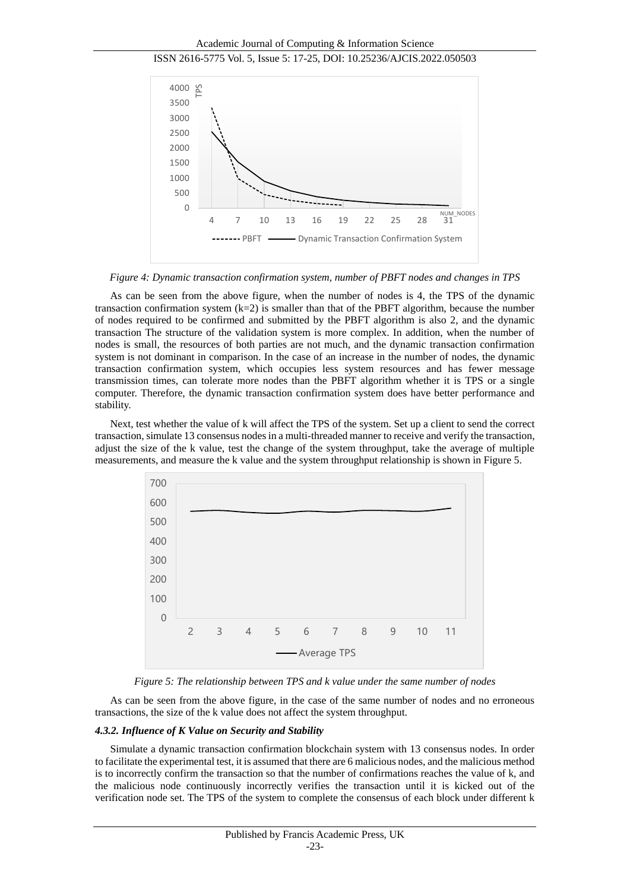Academic Journal of Computing & Information Science





*Figure 4: Dynamic transaction confirmation system, number of PBFT nodes and changes in TPS*

As can be seen from the above figure, when the number of nodes is 4, the TPS of the dynamic transaction confirmation system  $(k=2)$  is smaller than that of the PBFT algorithm, because the number of nodes required to be confirmed and submitted by the PBFT algorithm is also 2, and the dynamic transaction The structure of the validation system is more complex. In addition, when the number of nodes is small, the resources of both parties are not much, and the dynamic transaction confirmation system is not dominant in comparison. In the case of an increase in the number of nodes, the dynamic transaction confirmation system, which occupies less system resources and has fewer message transmission times, can tolerate more nodes than the PBFT algorithm whether it is TPS or a single computer. Therefore, the dynamic transaction confirmation system does have better performance and stability.

Next, test whether the value of k will affect the TPS of the system. Set up a client to send the correct transaction, simulate 13 consensus nodes in a multi-threaded manner to receive and verify the transaction, adjust the size of the k value, test the change of the system throughput, take the average of multiple measurements, and measure the k value and the system throughput relationship is shown in Figure 5.



*Figure 5: The relationship between TPS and k value under the same number of nodes*

As can be seen from the above figure, in the case of the same number of nodes and no erroneous transactions, the size of the k value does not affect the system throughput.

#### *4.3.2. Influence of K Value on Security and Stability*

Simulate a dynamic transaction confirmation blockchain system with 13 consensus nodes. In order to facilitate the experimental test, it is assumed that there are 6 malicious nodes, and the malicious method is to incorrectly confirm the transaction so that the number of confirmations reaches the value of k, and the malicious node continuously incorrectly verifies the transaction until it is kicked out of the verification node set. The TPS of the system to complete the consensus of each block under different k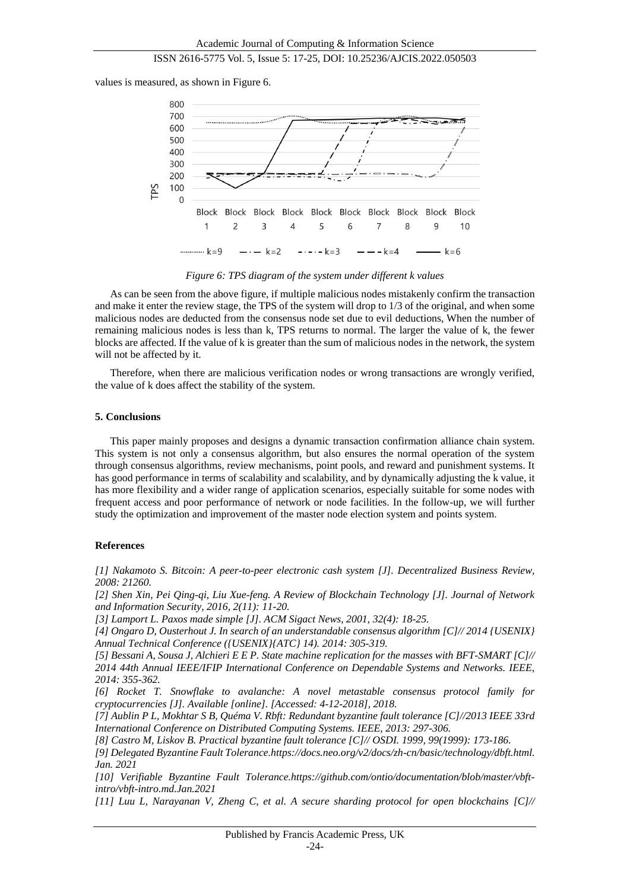values is measured, as shown in Figure 6.



*Figure 6: TPS diagram of the system under different k values*

As can be seen from the above figure, if multiple malicious nodes mistakenly confirm the transaction and make it enter the review stage, the TPS of the system will drop to 1/3 of the original, and when some malicious nodes are deducted from the consensus node set due to evil deductions, When the number of remaining malicious nodes is less than k, TPS returns to normal. The larger the value of k, the fewer blocks are affected. If the value of k is greater than the sum of malicious nodes in the network, the system will not be affected by it.

Therefore, when there are malicious verification nodes or wrong transactions are wrongly verified, the value of k does affect the stability of the system.

#### **5. Conclusions**

This paper mainly proposes and designs a dynamic transaction confirmation alliance chain system. This system is not only a consensus algorithm, but also ensures the normal operation of the system through consensus algorithms, review mechanisms, point pools, and reward and punishment systems. It has good performance in terms of scalability and scalability, and by dynamically adjusting the k value, it has more flexibility and a wider range of application scenarios, especially suitable for some nodes with frequent access and poor performance of network or node facilities. In the follow-up, we will further study the optimization and improvement of the master node election system and points system.

#### **References**

*[1] Nakamoto S. Bitcoin: A peer-to-peer electronic cash system [J]. Decentralized Business Review, 2008: 21260.*

*[2] Shen Xin, Pei Qing-qi, Liu Xue-feng. A Review of Blockchain Technology [J]. Journal of Network and Information Security, 2016, 2(11): 11-20.*

*[3] Lamport L. Paxos made simple [J]. ACM Sigact News, 2001, 32(4): 18-25.*

*[4] Ongaro D, Ousterhout J. In search of an understandable consensus algorithm [C]// 2014 {USENIX} Annual Technical Conference ({USENIX}{ATC} 14). 2014: 305-319.*

*[5] Bessani A, Sousa J, Alchieri E E P. State machine replication for the masses with BFT-SMART [C]// 2014 44th Annual IEEE/IFIP International Conference on Dependable Systems and Networks. IEEE, 2014: 355-362.*

*[6] Rocket T. Snowflake to avalanche: A novel metastable consensus protocol family for cryptocurrencies [J]. Available [online]. [Accessed: 4-12-2018], 2018.*

*[7] Aublin P L, Mokhtar S B, Quéma V. Rbft: Redundant byzantine fault tolerance [C]//2013 IEEE 33rd International Conference on Distributed Computing Systems. IEEE, 2013: 297-306.*

*[8] Castro M, Liskov B. Practical byzantine fault tolerance [C]// OSDI. 1999, 99(1999): 173-186.*

*[9] Delegated Byzantine Fault Tolerance.https://docs.neo.org/v2/docs/zh-cn/basic/technology/dbft.html. Jan. 2021*

*[10] Verifiable Byzantine Fault Tolerance.https://github.com/ontio/documentation/blob/master/vbftintro/vbft-intro.md.Jan.2021*

*[11] Luu L, Narayanan V, Zheng C, et al. A secure sharding protocol for open blockchains [C]//*